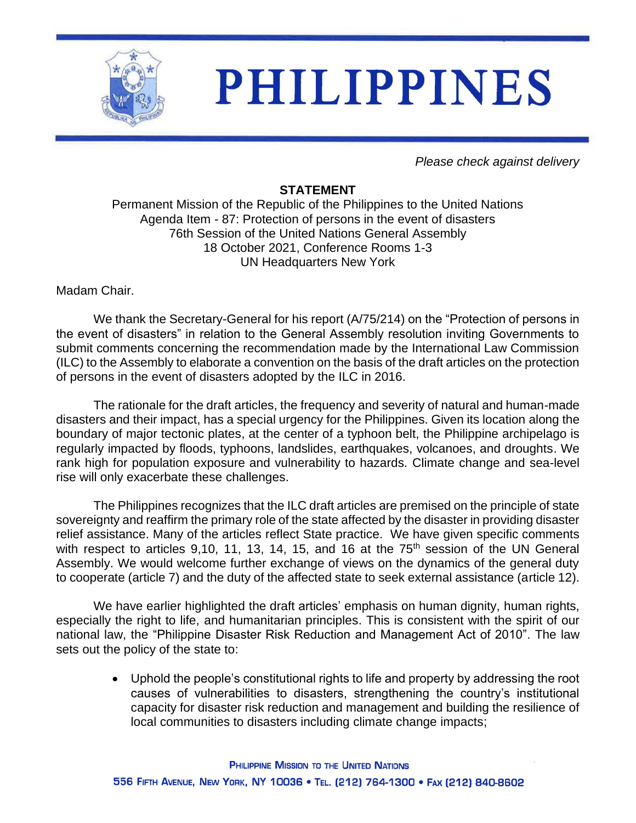

## **PHILIPPINES**

*Please check against delivery*

## **STATEMENT**

Permanent Mission of the Republic of the Philippines to the United Nations Agenda Item - 87: Protection of persons in the event of disasters 76th Session of the United Nations General Assembly 18 October 2021, Conference Rooms 1-3 UN Headquarters New York

Madam Chair.

We thank the Secretary-General for his report (A/75/214) on the "Protection of persons in the event of disasters" in relation to the General Assembly resolution inviting Governments to submit comments concerning the recommendation made by the International Law Commission (ILC) to the Assembly to elaborate a convention on the basis of the draft articles on the protection of persons in the event of disasters adopted by the ILC in 2016.

The rationale for the draft articles, the frequency and severity of natural and human-made disasters and their impact, has a special urgency for the Philippines. Given its location along the boundary of major tectonic plates, at the center of a typhoon belt, the Philippine archipelago is regularly impacted by floods, typhoons, landslides, earthquakes, volcanoes, and droughts. We rank high for population exposure and vulnerability to hazards. Climate change and sea-level rise will only exacerbate these challenges.

The Philippines recognizes that the ILC draft articles are premised on the principle of state sovereignty and reaffirm the primary role of the state affected by the disaster in providing disaster relief assistance. Many of the articles reflect State practice. We have given specific comments with respect to articles 9,10, 11, 13, 14, 15, and 16 at the 75<sup>th</sup> session of the UN General Assembly. We would welcome further exchange of views on the dynamics of the general duty to cooperate (article 7) and the duty of the affected state to seek external assistance (article 12).

We have earlier highlighted the draft articles' emphasis on human dignity, human rights, especially the right to life, and humanitarian principles. This is consistent with the spirit of our national law, the "Philippine Disaster Risk Reduction and Management Act of 2010". The law sets out the policy of the state to:

> • Uphold the people's constitutional rights to life and property by addressing the root causes of vulnerabilities to disasters, strengthening the country's institutional capacity for disaster risk reduction and management and building the resilience of local communities to disasters including climate change impacts;